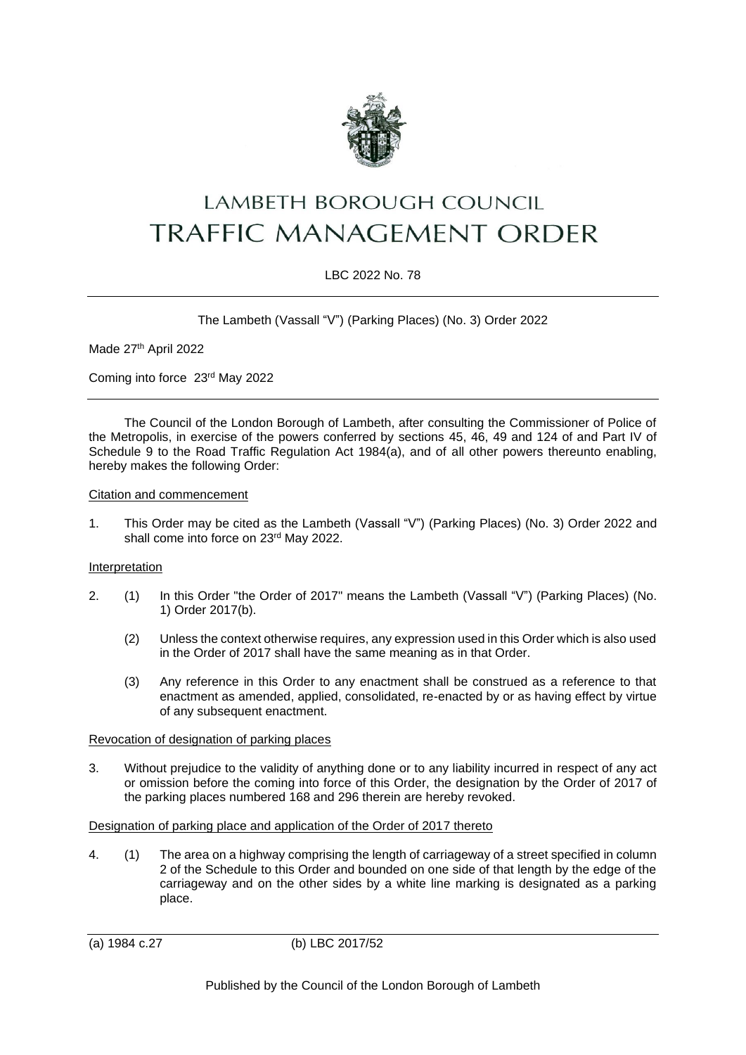

# **LAMBETH BOROUGH COUNCIL TRAFFIC MANAGEMENT ORDER**

# LBC 2022 No. 78

The Lambeth (Vassall "V") (Parking Places) (No. 3) Order 2022

Made 27th April 2022

Coming into force 23rd May 2022

The Council of the London Borough of Lambeth, after consulting the Commissioner of Police of the Metropolis, in exercise of the powers conferred by sections 45, 46, 49 and 124 of and Part IV of Schedule 9 to the Road Traffic Regulation Act 1984(a), and of all other powers thereunto enabling, hereby makes the following Order:

Citation and commencement

1. This Order may be cited as the Lambeth (Vassall "V") (Parking Places) (No. 3) Order 2022 and shall come into force on 23rd May 2022.

#### Interpretation

- 2. (1) In this Order "the Order of 2017" means the Lambeth (Vassall "V") (Parking Places) (No. 1) Order 2017(b).
	- (2) Unless the context otherwise requires, any expression used in this Order which is also used in the Order of 2017 shall have the same meaning as in that Order.
	- (3) Any reference in this Order to any enactment shall be construed as a reference to that enactment as amended, applied, consolidated, re-enacted by or as having effect by virtue of any subsequent enactment.

### Revocation of designation of parking places

3. Without prejudice to the validity of anything done or to any liability incurred in respect of any act or omission before the coming into force of this Order, the designation by the Order of 2017 of the parking places numbered 168 and 296 therein are hereby revoked.

#### Designation of parking place and application of the Order of 2017 thereto

4. (1) The area on a highway comprising the length of carriageway of a street specified in column 2 of the Schedule to this Order and bounded on one side of that length by the edge of the carriageway and on the other sides by a white line marking is designated as a parking place.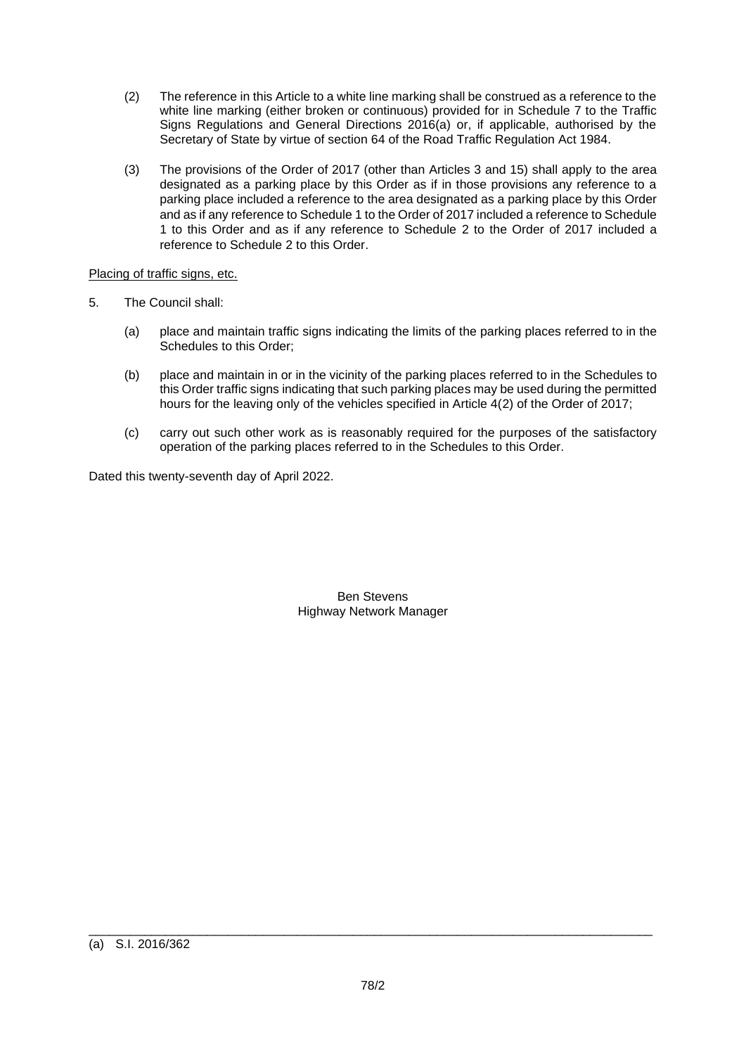- (2) The reference in this Article to a white line marking shall be construed as a reference to the white line marking (either broken or continuous) provided for in Schedule 7 to the Traffic Signs Regulations and General Directions 2016(a) or, if applicable, authorised by the Secretary of State by virtue of section 64 of the Road Traffic Regulation Act 1984.
- (3) The provisions of the Order of 2017 (other than Articles 3 and 15) shall apply to the area designated as a parking place by this Order as if in those provisions any reference to a parking place included a reference to the area designated as a parking place by this Order and as if any reference to Schedule 1 to the Order of 2017 included a reference to Schedule 1 to this Order and as if any reference to Schedule 2 to the Order of 2017 included a reference to Schedule 2 to this Order.

# Placing of traffic signs, etc.

- 5. The Council shall:
	- (a) place and maintain traffic signs indicating the limits of the parking places referred to in the Schedules to this Order;
	- (b) place and maintain in or in the vicinity of the parking places referred to in the Schedules to this Order traffic signs indicating that such parking places may be used during the permitted hours for the leaving only of the vehicles specified in Article 4(2) of the Order of 2017;
	- (c) carry out such other work as is reasonably required for the purposes of the satisfactory operation of the parking places referred to in the Schedules to this Order.

Dated this twenty-seventh day of April 2022.

Ben Stevens Highway Network Manager

\_\_\_\_\_\_\_\_\_\_\_\_\_\_\_\_\_\_\_\_\_\_\_\_\_\_\_\_\_\_\_\_\_\_\_\_\_\_\_\_\_\_\_\_\_\_\_\_\_\_\_\_\_\_\_\_\_\_\_\_\_\_\_\_\_\_\_\_\_\_\_\_\_\_\_\_\_\_\_\_\_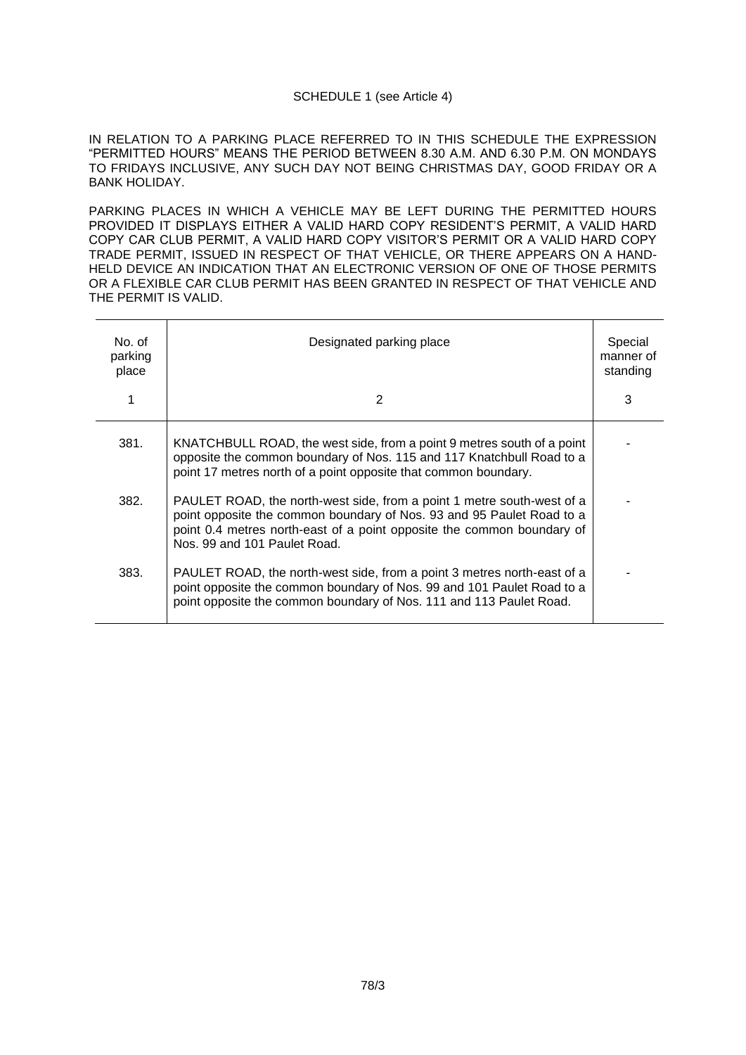## SCHEDULE 1 (see Article 4)

IN RELATION TO A PARKING PLACE REFERRED TO IN THIS SCHEDULE THE EXPRESSION "PERMITTED HOURS" MEANS THE PERIOD BETWEEN 8.30 A.M. AND 6.30 P.M. ON MONDAYS TO FRIDAYS INCLUSIVE, ANY SUCH DAY NOT BEING CHRISTMAS DAY, GOOD FRIDAY OR A BANK HOLIDAY.

PARKING PLACES IN WHICH A VEHICLE MAY BE LEFT DURING THE PERMITTED HOURS PROVIDED IT DISPLAYS EITHER A VALID HARD COPY RESIDENT'S PERMIT, A VALID HARD COPY CAR CLUB PERMIT, A VALID HARD COPY VISITOR'S PERMIT OR A VALID HARD COPY TRADE PERMIT, ISSUED IN RESPECT OF THAT VEHICLE, OR THERE APPEARS ON A HAND-HELD DEVICE AN INDICATION THAT AN ELECTRONIC VERSION OF ONE OF THOSE PERMITS OR A FLEXIBLE CAR CLUB PERMIT HAS BEEN GRANTED IN RESPECT OF THAT VEHICLE AND THE PERMIT IS VALID.

| No. of<br>parking<br>place<br>1 | Designated parking place<br>2                                                                                                                                                                                                                             | Special<br>manner of<br>standing<br>3 |
|---------------------------------|-----------------------------------------------------------------------------------------------------------------------------------------------------------------------------------------------------------------------------------------------------------|---------------------------------------|
| 381.                            | KNATCHBULL ROAD, the west side, from a point 9 metres south of a point<br>opposite the common boundary of Nos. 115 and 117 Knatchbull Road to a<br>point 17 metres north of a point opposite that common boundary.                                        |                                       |
| 382.                            | PAULET ROAD, the north-west side, from a point 1 metre south-west of a<br>point opposite the common boundary of Nos. 93 and 95 Paulet Road to a<br>point 0.4 metres north-east of a point opposite the common boundary of<br>Nos. 99 and 101 Paulet Road. |                                       |
| 383.                            | PAULET ROAD, the north-west side, from a point 3 metres north-east of a<br>point opposite the common boundary of Nos. 99 and 101 Paulet Road to a<br>point opposite the common boundary of Nos. 111 and 113 Paulet Road.                                  |                                       |